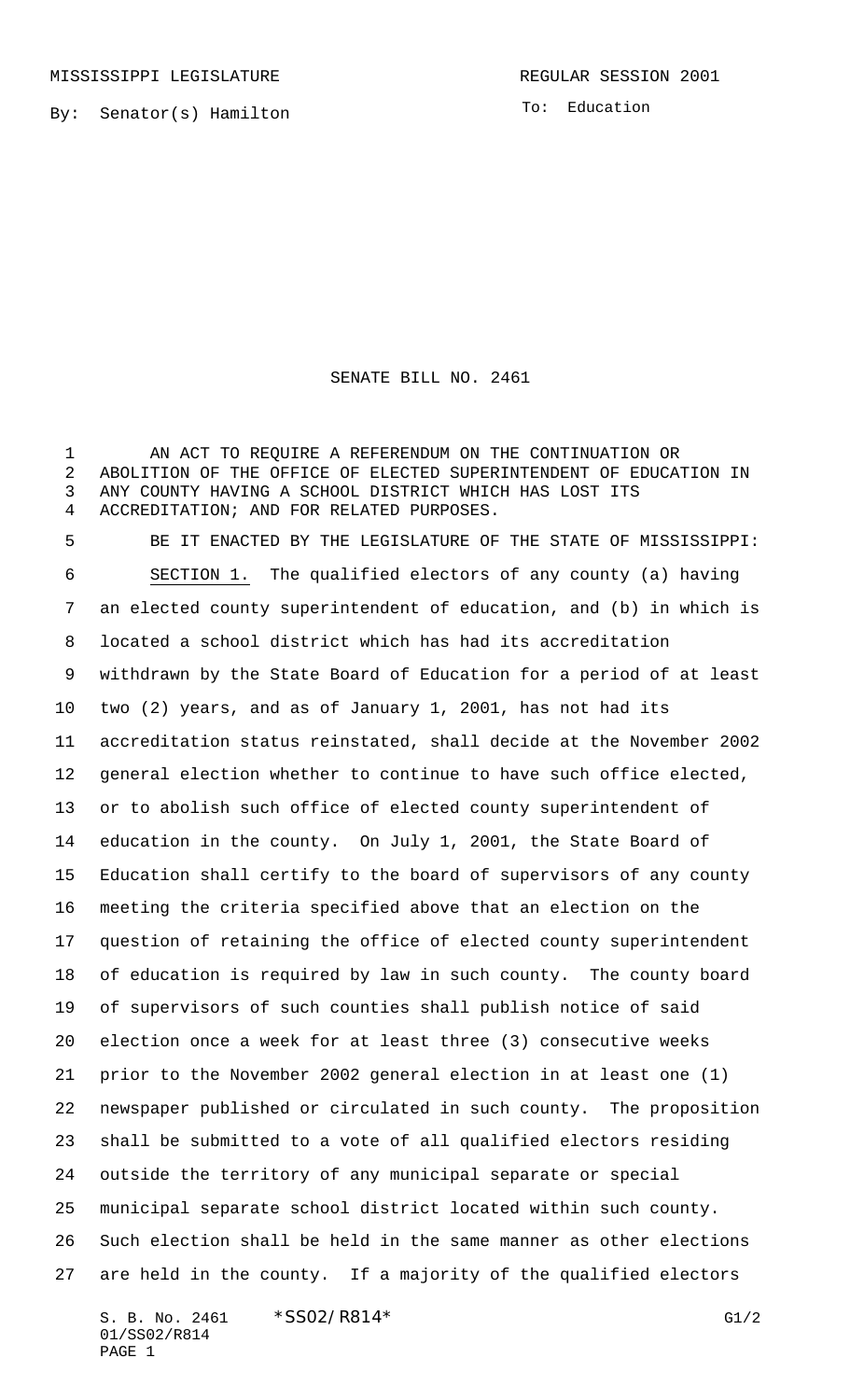MISSISSIPPI LEGISLATURE **REGULAR SESSION 2001** 

By: Senator(s) Hamilton

To: Education

SENATE BILL NO. 2461

 AN ACT TO REQUIRE A REFERENDUM ON THE CONTINUATION OR ABOLITION OF THE OFFICE OF ELECTED SUPERINTENDENT OF EDUCATION IN ANY COUNTY HAVING A SCHOOL DISTRICT WHICH HAS LOST ITS ACCREDITATION; AND FOR RELATED PURPOSES.

 BE IT ENACTED BY THE LEGISLATURE OF THE STATE OF MISSISSIPPI: SECTION 1. The qualified electors of any county (a) having an elected county superintendent of education, and (b) in which is located a school district which has had its accreditation withdrawn by the State Board of Education for a period of at least two (2) years, and as of January 1, 2001, has not had its accreditation status reinstated, shall decide at the November 2002 general election whether to continue to have such office elected, or to abolish such office of elected county superintendent of education in the county. On July 1, 2001, the State Board of Education shall certify to the board of supervisors of any county meeting the criteria specified above that an election on the question of retaining the office of elected county superintendent of education is required by law in such county. The county board of supervisors of such counties shall publish notice of said election once a week for at least three (3) consecutive weeks prior to the November 2002 general election in at least one (1) newspaper published or circulated in such county. The proposition shall be submitted to a vote of all qualified electors residing outside the territory of any municipal separate or special municipal separate school district located within such county. Such election shall be held in the same manner as other elections are held in the county. If a majority of the qualified electors

S. B. No. 2461 \* SSO2/R814\* G1/2 01/SS02/R814 PAGE 1